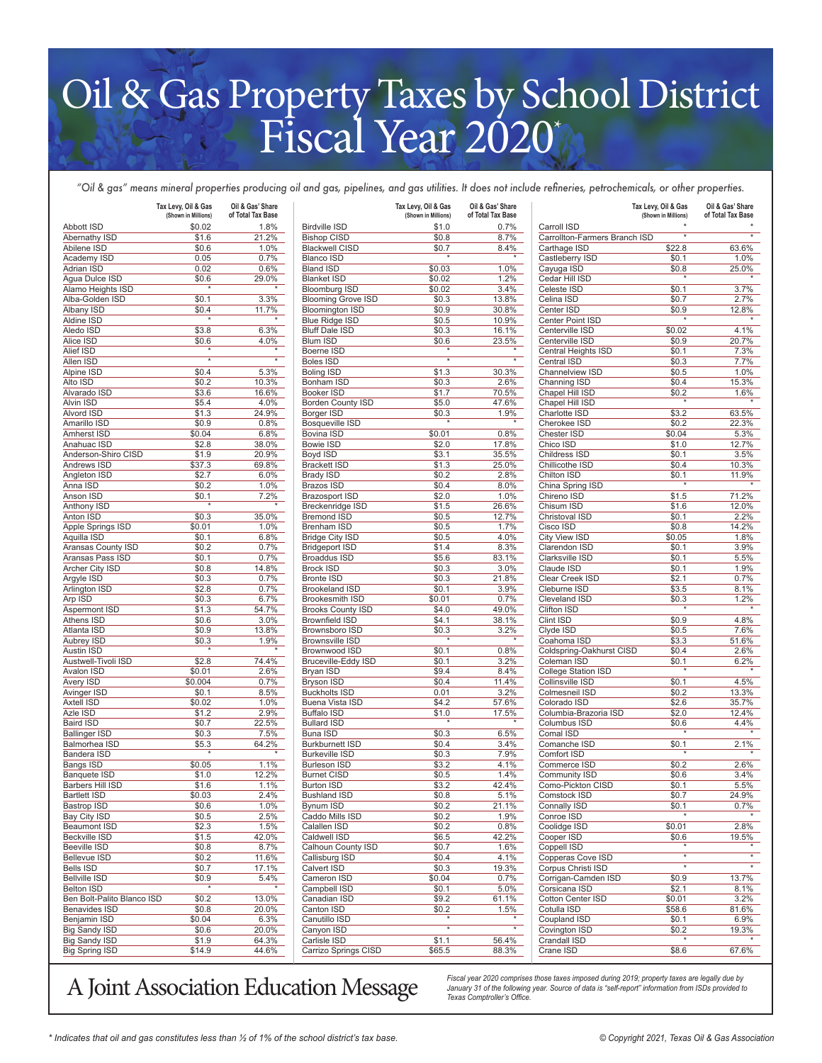## Oil & Gas Property Taxes by School District Fiscal Year 2020\*

*"Oil & gas" means mineral properties producing oil and gas, pipelines, and gas utilities. It does not include refineries, petrochemicals, or other properties.*

|                                     | Tax Levy, Oil & Gas<br>(Shown in Millions) | Oil & Gas' Share<br>of Total Tax Base |                                        | Tax Levy, Oil & Gas<br>(Shown in Millions) | Oil & Gas' Share<br>of Total Tax Base |                                  | Tax Levy, Oil & Gas<br>(Shown in Millions) | Oil & Gas' Share<br>of Total Tax Base |
|-------------------------------------|--------------------------------------------|---------------------------------------|----------------------------------------|--------------------------------------------|---------------------------------------|----------------------------------|--------------------------------------------|---------------------------------------|
| Abbott ISD                          | \$0.02                                     | 1.8%                                  | <b>Birdville ISD</b>                   | \$1.0                                      | 0.7%                                  | Carroll ISD                      |                                            |                                       |
| Abernathy ISD                       | \$1.6                                      | 21.2%                                 | <b>Bishop CISD</b>                     | \$0.8                                      | 8.7%                                  | Carrollton-Farmers Branch ISD    | $\star$                                    | $^\star$                              |
| Abilene ISD                         | \$0.6                                      | 1.0%                                  | <b>Blackwell CISD</b>                  | \$0.7                                      | 8.4%<br>$\star$                       | Carthage ISD                     | \$22.8                                     | 63.6%                                 |
| Academy ISD                         | 0.05                                       | 0.7%                                  | <b>Blanco ISD</b>                      |                                            |                                       | Castleberry ISD                  | \$0.1                                      | 1.0%                                  |
| Adrian ISD                          | 0.02                                       | 0.6%                                  | <b>Bland ISD</b><br><b>Blanket ISD</b> | \$0.03                                     | 1.0%                                  | Cayuga ISD<br>Cedar Hill ISD     | \$0.8                                      | 25.0%                                 |
| Agua Dulce ISD<br>Alamo Heights ISD | \$0.6<br>$\star$                           | 29.0%<br>$\star$                      | <b>Bloomburg ISD</b>                   | \$0.02<br>\$0.02                           | 1.2%<br>3.4%                          | Celeste ISD                      | \$0.1                                      | 3.7%                                  |
| Alba-Golden ISD                     | \$0.1                                      | 3.3%                                  | <b>Blooming Grove ISD</b>              | \$0.3                                      | 13.8%                                 | Celina ISD                       | \$0.7                                      | 2.7%                                  |
| Albany ISD                          | \$0.4                                      | 11.7%                                 | <b>Bloomington ISD</b>                 | \$0.9                                      | 30.8%                                 | Center ISD                       | \$0.9                                      | 12.8%                                 |
| Aldine ISD                          |                                            |                                       | <b>Blue Ridge ISD</b>                  | \$0.5                                      | 10.9%                                 | Center Point ISD                 |                                            |                                       |
| Aledo ISD                           | \$3.8                                      | 6.3%                                  | <b>Bluff Dale ISD</b>                  | \$0.3                                      | 16.1%                                 | Centerville ISD                  | \$0.02                                     | 4.1%                                  |
| Alice ISD                           | \$0.6                                      | 4.0%                                  | <b>Blum ISD</b>                        | \$0.6                                      | 23.5%                                 | Centerville ISD                  | \$0.9                                      | 20.7%                                 |
| Alief ISD                           |                                            |                                       | Boerne ISD                             |                                            |                                       | Central Heights ISD              | \$0.1                                      | 7.3%                                  |
| Allen ISD                           | $\star$                                    | $\star$                               | Boles ISD                              | $\star$                                    | $_\star$                              | Central ISD                      | \$0.3                                      | 7.7%                                  |
| Alpine ISD                          | \$0.4                                      | 5.3%                                  | <b>Boling ISD</b>                      | \$1.3                                      | 30.3%                                 | Channelview ISD                  | \$0.5                                      | 1.0%                                  |
| Alto ISD                            | \$0.2                                      | 10.3%                                 | Bonham ISD                             | \$0.3                                      | 2.6%                                  | Channing ISD                     | \$0.4                                      | 15.3%                                 |
| Alvarado ISD                        | \$3.6                                      | 16.6%                                 | <b>Booker ISD</b>                      | \$1.7                                      | 70.5%                                 | Chapel Hill ISD                  | \$0.2                                      | 1.6%                                  |
| Alvin ISD                           | \$5.4                                      | 4.0%                                  | <b>Borden County ISD</b>               | \$5.0                                      | 47.6%                                 | Chapel Hill ISD                  |                                            |                                       |
| Alvord ISD                          | \$1.3                                      | 24.9%                                 | Borger ISD                             | \$0.3                                      | 1.9%                                  | Charlotte ISD                    | \$3.2                                      | 63.5%                                 |
| Amarillo ISD                        | \$0.9                                      | 0.8%                                  | Bosqueville ISD                        |                                            |                                       | Cherokee ISD                     | \$0.2                                      | 22.3%                                 |
| Amherst ISD                         | \$0.04                                     | 6.8%                                  | Bovina ISD                             | \$0.01                                     | 0.8%                                  | Chester ISD                      | \$0.04                                     | 5.3%                                  |
| Anahuac ISD                         | \$2.8                                      | 38.0%                                 | Bowie ISD<br>Boyd ISD                  | \$2.0                                      | 17.8%                                 | Chico ISD                        | \$1.0<br>\$0.1                             | 12.7%                                 |
| Anderson-Shiro CISD<br>Andrews ISD  | \$1.9<br>\$37.3                            | 20.9%<br>69.8%                        | <b>Brackett ISD</b>                    | \$3.1<br>\$1.3                             | 35.5%<br>25.0%                        | Childress ISD<br>Chillicothe ISD | \$0.4                                      | 3.5%<br>10.3%                         |
| Angleton ISD                        | \$2.7                                      | 6.0%                                  | <b>Brady ISD</b>                       | \$0.2                                      | 2.8%                                  | Chilton ISD                      | \$0.1                                      | 11.9%                                 |
| Anna ISD                            | \$0.2                                      | 1.0%                                  | <b>Brazos ISD</b>                      | \$0.4                                      | 8.0%                                  | China Spring ISD                 | $\star$                                    |                                       |
| Anson ISD                           | \$0.1                                      | 7.2%                                  | Brazosport ISD                         | \$2.0                                      | 1.0%                                  | Chireno ISD                      | \$1.5                                      | 71.2%                                 |
| Anthony ISD                         | $\star$                                    | $\star$                               | Breckenridge ISD                       | \$1.5                                      | 26.6%                                 | Chisum ISD                       | \$1.6                                      | 12.0%                                 |
| Anton ISD                           | \$0.3                                      | 35.0%                                 | <b>Bremond ISD</b>                     | \$0.5                                      | 12.7%                                 | Christoval ISD                   | \$0.1                                      | 2.2%                                  |
| Apple Springs ISD                   | \$0.01                                     | 1.0%                                  | <b>Brenham ISD</b>                     | \$0.5                                      | 1.7%                                  | Cisco ISD                        | \$0.8                                      | 14.2%                                 |
| Aquilla ISD                         | \$0.1                                      | 6.8%                                  | <b>Bridge City ISD</b>                 | \$0.5                                      | 4.0%                                  | City View ISD                    | \$0.05                                     | 1.8%                                  |
| Aransas County ISD                  | \$0.2                                      | 0.7%                                  | <b>Bridgeport ISD</b>                  | \$1.4                                      | 8.3%                                  | Clarendon ISD                    | \$0.1                                      | 3.9%                                  |
| Aransas Pass ISD                    | \$0.1                                      | 0.7%                                  | <b>Broaddus ISD</b>                    | \$5.6                                      | 83.1%                                 | Clarksville ISD                  | \$0.1                                      | 5.5%                                  |
| Archer City ISD                     | \$0.8                                      | 14.8%                                 | <b>Brock ISD</b>                       | \$0.3                                      | 3.0%                                  | Claude ISD                       | \$0.1                                      | 1.9%                                  |
| Argyle ISD                          | \$0.3                                      | 0.7%                                  | <b>Bronte ISD</b>                      | \$0.3                                      | 21.8%                                 | Clear Creek ISD                  | \$2.1                                      | 0.7%                                  |
| Arlington ISD                       | \$2.8                                      | 0.7%                                  | Brookeland ISD                         | \$0.1                                      | 3.9%                                  | Cleburne ISD                     | \$3.5                                      | 8.1%                                  |
| Arp ISD                             | \$0.3                                      | 6.7%                                  | <b>Brookesmith ISD</b>                 | \$0.01                                     | 0.7%                                  | Cleveland ISD                    | \$0.3                                      | 1.2%                                  |
| Aspermont ISD                       | \$1.3                                      | 54.7%                                 | <b>Brooks County ISD</b>               | \$4.0                                      | 49.0%                                 | Clifton ISD                      |                                            |                                       |
| Athens ISD                          | \$0.6                                      | 3.0%                                  | <b>Brownfield ISD</b>                  | \$4.1                                      | 38.1%                                 | Clint ISD                        | \$0.9                                      | 4.8%                                  |
| Atlanta ISD                         | \$0.9                                      | 13.8%                                 | Brownsboro ISD                         | \$0.3                                      | 3.2%                                  | Clyde ISD                        | \$0.5                                      | 7.6%                                  |
| Aubrey ISD                          | \$0.3                                      | 1.9%                                  | Brownsville ISD                        |                                            |                                       | Coahoma ISD                      | \$3.3                                      | 51.6%                                 |
| Austin ISD                          |                                            |                                       | Brownwood ISD                          | \$0.1                                      | 0.8%                                  | Coldspring-Oakhurst CISD         | \$0.4                                      | 2.6%                                  |
| Austwell-Tivoli ISD                 | \$2.8                                      | 74.4%                                 | Bruceville-Eddy ISD                    | \$0.1                                      | 3.2%                                  | Coleman ISD                      | \$0.1                                      | 6.2%                                  |
| Avalon ISD                          | \$0.01                                     | 2.6%                                  | Bryan ISD                              | \$9.4                                      | 8.4%                                  | College Station ISD              |                                            |                                       |
| Avery ISD                           | \$0.004                                    | 0.7%                                  | <b>Bryson ISD</b>                      | \$0.4                                      | 11.4%                                 | Collinsville ISD                 | \$0.1                                      | 4.5%                                  |
| Avinger ISD<br>Axtell ISD           | \$0.1<br>\$0.02                            | 8.5%                                  | <b>Buckholts ISD</b>                   | 0.01<br>\$4.2                              | 3.2%                                  | Colmesneil ISD<br>Colorado ISD   | \$0.2<br>\$2.6                             | 13.3%<br>35.7%                        |
| Azle ISD                            | \$1.2                                      | 1.0%<br>2.9%                          | Buena Vista ISD<br><b>Buffalo ISD</b>  | \$1.0                                      | 57.6%<br>17.5%                        | Columbia-Brazoria ISD            | \$2.0                                      | 12.4%                                 |
| Baird ISD                           | \$0.7                                      | 22.5%                                 | <b>Bullard ISD</b>                     |                                            | $\star$                               | Columbus ISD                     | \$0.6                                      | 4.4%                                  |
| <b>Ballinger ISD</b>                | \$0.3                                      | 7.5%                                  | Buna ISD                               | \$0.3                                      | 6.5%                                  | Comal ISD                        | $\star$                                    |                                       |
| Balmorhea ISD                       | \$5.3                                      | 64.2%                                 | <b>Burkburnett ISD</b>                 | \$0.4                                      | 3.4%                                  | Comanche ISD                     | \$0.1                                      | 2.1%                                  |
| Bandera ISD                         |                                            |                                       | <b>Burkeville ISD</b>                  | \$0.3                                      | 7.9%                                  | Comfort ISD                      |                                            |                                       |
| Bangs ISD                           | \$0.05                                     | 1.1%                                  | <b>Burleson ISD</b>                    | \$3.2                                      | 4.1%                                  | Commerce ISD                     | \$0.2                                      | 2.6%                                  |
| <b>Banquete ISD</b>                 | \$1.0                                      | 12.2%                                 | <b>Burnet CISD</b>                     | \$0.5                                      | 1.4%                                  | Community ISD                    | \$0.6                                      | 3.4%                                  |
| Barbers Hill ISD                    | \$1.6                                      | 1.1%                                  | <b>Burton ISD</b>                      | \$3.2                                      | 42.4%                                 | Como-Pickton CISD                | \$0.1                                      | 5.5%                                  |
| <b>Bartlett ISD</b>                 | \$0.03                                     | 2.4%                                  | <b>Bushland ISD</b>                    | \$0.8                                      | 5.1%                                  | Comstock ISD                     | \$0.7                                      | 24.9%                                 |
| Bastrop ISD                         | \$0.6                                      | 1.0%                                  | Bynum ISD                              | \$0.2                                      | 21.1%                                 | Connally ISD                     | \$0.1                                      | 0.7%                                  |
| Bay City ISD                        | \$0.5                                      | 2.5%                                  | Caddo Mills ISD                        | \$0.2                                      | 1.9%                                  | Conroe ISD                       |                                            |                                       |
| Beaumont ISD                        | \$2.3                                      | 1.5%                                  | Calallen ISD                           | \$0.2                                      | 0.8%                                  | Coolidge ISD                     | \$0.01                                     | 2.8%                                  |
| Beckville ISD                       | \$1.5                                      | 42.0%                                 | Caldwell ISD                           | \$6.5                                      | 42.2%                                 | Cooper ISD                       | \$0.6                                      | 19.5%                                 |
| <b>Beeville ISD</b>                 | \$0.8                                      | 8.7%                                  | Calhoun County ISD                     | \$0.7                                      | 1.6%                                  | Coppell ISD                      |                                            |                                       |
| Bellevue ISD                        | \$0.2                                      | 11.6%                                 | Callisburg ISD                         | \$0.4                                      | 4.1%                                  | Copperas Cove ISD                | $\star$                                    | $\star$                               |
| <b>Bells ISD</b>                    | \$0.7                                      | 17.1%                                 | Calvert ISD                            | \$0.3                                      | 19.3%                                 | Corpus Christi ISD               |                                            |                                       |
| <b>Bellville ISD</b>                | \$0.9                                      | 5.4%                                  | Cameron ISD                            | \$0.04                                     | 0.7%                                  | Corrigan-Camden ISD              | \$0.9                                      | 13.7%                                 |
| Belton ISD                          | $^\star$                                   | $^\star$                              | Campbell ISD                           | \$0.1                                      | 5.0%                                  | Corsicana ISD                    | \$2.1                                      | 8.1%                                  |
| Ben Bolt-Palito Blanco ISD          | \$0.2                                      | 13.0%                                 | Canadian ISD                           | \$9.2                                      | 61.1%                                 | Cotton Center ISD                | \$0.01                                     | 3.2%                                  |
| Benavides ISD                       | \$0.8                                      | 20.0%                                 | Canton ISD                             | \$0.2                                      | 1.5%                                  | Cotulla ISD                      | \$58.6                                     | 81.6%                                 |
| Benjamin ISD                        | \$0.04                                     | 6.3%                                  | Canutillo ISD                          |                                            | $\star$                               | Coupland ISD                     | \$0.1                                      | 6.9%                                  |
| <b>Big Sandy ISD</b>                | \$0.6                                      | 20.0%                                 | Canyon ISD                             | $^\star$                                   |                                       | Covington ISD                    | \$0.2                                      | 19.3%                                 |
| <b>Big Sandy ISD</b>                | \$1.9                                      | 64.3%                                 | Carlisle ISD                           | \$1.1                                      | 56.4%                                 | Crandall ISD                     |                                            |                                       |
| Big Spring ISD                      | \$14.9                                     | 44.6%                                 | Carrizo Springs CISD                   | \$65.5                                     | 88.3%                                 | Crane ISD                        | \$8.6                                      | 67.6%                                 |

Fiscal year 2020 comprises those taxes imposed during 2019; property taxes are legally due by  $\widetilde{A}$  Joint Association Education  $\widetilde{B}$  anuary 31 of the following year. Source of data is "self-report" information fro

*January 31 of the following year. Source of data is "self-report" information from ISDs provided to Texas Comptroller's Office.*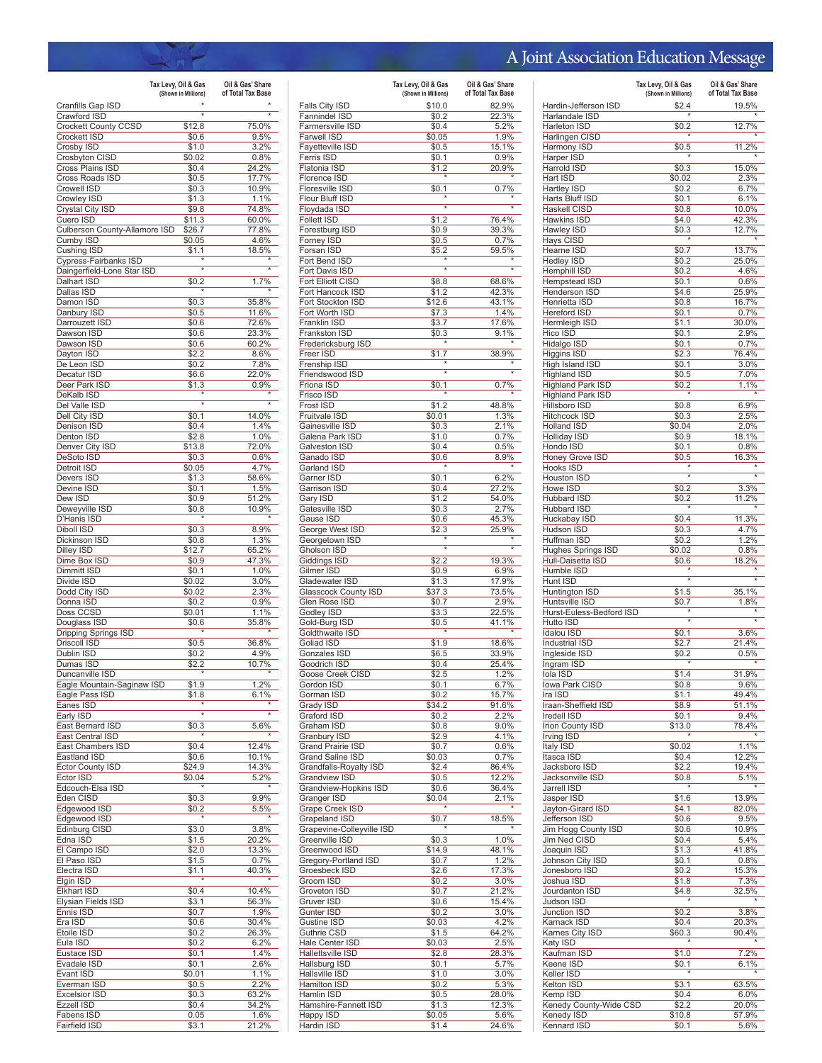## A Joint Association Education Message

|                                              | Tax Levy, Oil & Gas | Oil & Gas' Share  |
|----------------------------------------------|---------------------|-------------------|
|                                              | (Shown in Millions) | of Total Tax Base |
| Cranfills Gap ISD<br>Crawford ISD            | $\overline{\ast}$   | $\overline{\ast}$ |
| Crockett County CCSD                         | \$12.8              | 75.0%             |
| Crockett ISD                                 | \$0.6               | 9.5%              |
| Crosby ISD                                   | \$1.0               | 3.2%              |
| Crosbyton CISD<br>Cross Plains ISD           | \$0.02<br>\$0.4     | 0.8%<br>24.2%     |
| Cross Roads ISD                              | \$0.5               | 17.7%             |
| Crowell ISD                                  | \$0.3               | 10.9%             |
| Crowley ISD                                  | \$1.3               | 1.1%              |
| Crystal City ISD<br>Cuero ISD                | \$9.8<br>\$11.3     | 74.8%<br>60.0%    |
| Culberson County-Allamore ISD                | \$26.7              | 77.8%             |
| Cumby ISD                                    | \$0.05              | 4.6%              |
| Cushing ISD                                  | \$1.1               | 18.5%             |
| Cypress-Fairbanks ISD                        | $\overline{\ast}$   |                   |
| Daingerfield-Lone Star ISD<br>Dalhart ISD    | \$0.2               | 1.7%              |
| Dallas ISD                                   |                     |                   |
| Damon ISD                                    | \$0.3               | 35.8%             |
| Danbury ISD                                  | \$0.5               | 11.6%             |
| Darrouzett ISD<br>Dawson ISD                 | \$0.6<br>\$0.6      | 72.6%<br>23.3%    |
| Dawson ISD                                   | \$0.6               | 60.2%             |
| Dayton ISD                                   | \$2.2               | 8.6%              |
| De Leon ISD                                  | \$0.2               | 7.8%              |
| Decatur ISD                                  | \$6.6               | 22.0%             |
| Deer Park ISD<br>DeKalb ISD                  | \$1.3               | 0.9%              |
| Del Valle ISD                                | $\overline{\ast}$   | $\overline{\ast}$ |
| Dell City ISD                                | \$0.1               | 14.0%             |
| Denison ISD                                  | \$0.4               | 1.4%              |
| Denton ISD                                   | \$2.8               | 1.0%              |
| Denver City ISD<br>DeSoto ISD                | \$13.8<br>\$0.3     | 72.0%<br>0.6%     |
| Detroit ISD                                  | \$0.05              | 4.7%              |
| Devers ISD                                   | \$1.3               | 58.6%             |
| Devine ISD                                   | \$0.1               | 1.5%              |
| Dew ISD                                      | \$0.9               | 51.2%             |
| Deweyville ISD<br>D'Hanis ISD                | \$0.8               | 10.9%             |
| Diboll ISD                                   | \$0.3               | 8.9%              |
| Dickinson ISD                                | \$0.8               | 1.3%              |
| Dilley ISD                                   | \$12.7              | 65.2%             |
| Dime Box ISD                                 | \$0.9               | 47.3%             |
| Dimmitt ISD<br>Divide ISD                    | \$0.1<br>\$0.02     | 1.0%<br>3.0%      |
| Dodd City ISD                                | \$0.02              | 2.3%              |
| Donna ISD                                    | \$0.2               | 0.9%              |
| Doss CCSD                                    | \$0.01              | 1.1%              |
| Douglass ISD<br>Dripping Springs ISD         | \$0.6               | 35.8%             |
| Driscoll ISD                                 | \$0.5               | 36.8%             |
| Dublin ISD                                   | \$0.2               | 4.9%              |
| Dumas ISD                                    | \$2.2               | 10.7%             |
| Duncanville ISD                              |                     |                   |
| Eagle Mountain-Saginaw ISD<br>Eagle Pass ISD | \$1.9<br>\$1.8      | 1.2%<br>6.1%      |
| Eanes ISD                                    |                     |                   |
| Early ISD                                    | $\overline{\ast}$   | ×                 |
| East Bernard ISD                             | \$0.3               | 5.6%              |
| East Central ISD                             |                     | 12.4%             |
| East Chambers ISD<br>Eastland ISD            | \$0.4<br>\$0.6      | 10.1%             |
| <b>Ector County ISD</b>                      | \$24.9              | 14.3%             |
| Ector ISD                                    | \$0.04              | 5.2%              |
| Edcouch-Elsa ISD                             | $\star$             |                   |
| Eden CISD<br>Edgewood ISD                    | \$0.3               | 9.9%              |
| Edgewood ISD                                 | \$0.2               | 5.5%              |
| Edinburg CISD                                | \$3.0               | 3.8%              |
| Edna ISD                                     | \$1.5               | 20.2%             |
| El Campo ISD                                 | \$2.0               | 13.3%             |
| El Paso ISD<br>Electra ISD                   | \$1.5<br>\$1.1      | 0.7%<br>40.3%     |
| Elgin ISD                                    |                     |                   |
| <b>Elkhart ISD</b>                           | \$0.4               | 10.4%             |
| Elysian Fields ISD                           | \$3.1               | 56.3%             |
| Ennis ISD                                    | \$0.7               | 1.9%              |
| Era ISD<br>Etoile ISD                        | \$0.6<br>\$0.2      | 30.4%<br>26.3%    |
| Eula ISD                                     | \$0.2               | 6.2%              |
| Eustace ISD                                  | \$0.1               | 1.4%              |
| Evadale ISD                                  | \$0.1               | 2.6%              |
| Evant ISD                                    | \$0.01              | 1.1%              |
| Everman ISD<br><b>Excelsior ISD</b>          | \$0.5<br>\$0.3      | 2.2%<br>63.2%     |
| Ezzell ISD                                   | \$0.4               | 34.2%             |
| Fabens ISD                                   | 0.05                | 1.6%              |
| Fairfield ISD                                | \$3.1               | 21.2%             |

|                                          | Tax Levy, Oil & Gas<br>(Shown in Millions) | Oil & Gas' Share<br>of Total Tax Base |
|------------------------------------------|--------------------------------------------|---------------------------------------|
| Falls City ISD                           | \$10.0                                     | 82.9%                                 |
| Fannindel ISD                            | \$0.2                                      | 22.3%                                 |
| Farmersville ISD                         | \$0.4                                      | 5.2%                                  |
| Farwell ISD                              | \$0.05                                     | 1.9%                                  |
| Fayetteville ISD                         | \$0.5                                      | 15.1%                                 |
| Ferris ISD                               | \$0.1                                      | 0.9%                                  |
| Flatonia ISD<br>Florence ISD             | \$1.2                                      | 20.9%                                 |
| Floresville ISD                          | \$0.1                                      | 0.7%                                  |
| Flour Bluff ISD                          |                                            |                                       |
| Floydada ISD                             | $\star$                                    | $\star$                               |
| <b>Follett ISD</b>                       | \$1.2                                      | 76.4%                                 |
| Forestburg ISD                           | \$0.9                                      | 39.3%                                 |
| Forney ISD                               | \$0.5                                      | 0.7%                                  |
| Forsan ISD                               | \$5.2                                      | 59.5%                                 |
| Fort Bend ISD                            |                                            |                                       |
| Fort Davis ISD                           | $\overline{\ast}$                          |                                       |
| Fort Elliott CISD                        | \$8.8                                      | 68.6%                                 |
| Fort Hancock ISD                         | \$1.2                                      | 42.3%                                 |
| Fort Stockton ISD                        | \$12.6                                     | 43.1%                                 |
| Fort Worth ISD                           | \$7.3                                      | 1.4%                                  |
| Franklin ISD                             | \$3.7                                      | 17.6%                                 |
| Frankston ISD                            | \$0.3                                      | 9.1%                                  |
| Fredericksburg ISD                       |                                            |                                       |
| Freer ISD                                | \$1.7                                      | 38.9%                                 |
| Frenship ISD                             | $\overline{\ast}$                          | 7                                     |
| Friendswood ISD<br>Friona ISD            | \$0.1                                      | 0.7%                                  |
| Frisco ISD                               |                                            |                                       |
| Frost ISD                                | \$1.2                                      | 48.8%                                 |
| Fruitvale ISD                            | \$0.01                                     | 1.3%                                  |
| Gainesville ISD                          | \$0.3                                      | 2.1%                                  |
| Galena Park ISD                          | \$1.0                                      | 0.7%                                  |
| Galveston ISD                            | \$0.4                                      | 0.5%                                  |
| Ganado ISD                               | \$0.6                                      | 8.9%                                  |
| Garland ISD                              |                                            |                                       |
| Garner ISD                               | \$0.1                                      | 6.2%                                  |
| Garrison ISD                             | \$0.4                                      | 27.2%                                 |
| Gary ISD                                 | \$1.2                                      | 54.0%                                 |
| Gatesville ISD                           | \$0.3                                      | 2.7%                                  |
| Gause ISD                                | \$0.6                                      | 45.3%                                 |
| George West ISD                          | \$2.3                                      | 25.9%                                 |
| Georgetown ISD                           | $\overline{\ast}$                          |                                       |
| Gholson ISD<br>Giddings ISD              | \$2.2                                      | 19.3%                                 |
| Gilmer ISD                               | \$0.9                                      | 6.9%                                  |
| Gladewater ISD                           | \$1.3                                      | 17.9%                                 |
| Glasscock County ISD                     | \$37.3                                     | 73.5%                                 |
| Glen Rose ISD                            | \$0.7                                      | 2.9%                                  |
| Godley ISD                               | \$3.3                                      | 22.5%                                 |
| Gold-Burg ISD                            | \$0.5                                      | 41.1%                                 |
| Goldthwaite ISD                          | ×                                          |                                       |
| Goliad ISD                               | \$1.9                                      | 18.6%                                 |
| <b>Gonzales ISD</b>                      | \$6.5                                      | 33.9%                                 |
| Goodrich ISD                             | \$0.4                                      | 25.4%                                 |
| Goose Creek CISD                         | \$2.5                                      | 1.2%                                  |
| Gordon ISD                               | \$0.1                                      | 6.7%                                  |
| Gorman ISD                               | \$0.2                                      | 15.7%                                 |
| Grady ISD                                | \$34.2                                     | 91.6%                                 |
| Graford ISD                              | \$0.2                                      | 2.2%                                  |
| Graham ISD                               | \$0.8                                      | 9.0%                                  |
| Granbury ISD<br><b>Grand Prairie ISD</b> | \$2.9                                      | 4.1%<br>0.6%                          |
| <b>Grand Saline ISD</b>                  | \$0.7<br>\$0.03                            | 0.7%                                  |
| Grandfalls-Royalty ISD                   | \$2.4                                      | 86.4%                                 |
| Grandview ISD                            | \$0.5                                      | 12.2%                                 |
| Grandview-Hopkins ISD                    | \$0.6                                      | 36.4%                                 |
| Granger ISD                              | \$0.04                                     | 2.1%                                  |
| Grape Creek ISD                          |                                            |                                       |
| Grapeland ISD                            | \$0.7                                      | 18.5%                                 |
| Grapevine-Colleyville ISD                |                                            |                                       |
| Greenville ISD                           | \$0.3                                      | 1.0%                                  |
| Greenwood ISD                            | \$14.9                                     | 48.1%                                 |
| Gregory-Portland ISD                     | \$0.7                                      | 1.2%                                  |
| Groesbeck ISD                            | \$2.6                                      | 17.3%                                 |
| Groom ISD                                | \$0.2                                      | 3.0%                                  |
| Groveton ISD                             | \$0.7                                      | 21.2%                                 |
| Gruver ISD                               | \$0.6                                      | 15.4%                                 |
| Gunter ISD                               | \$0.2                                      | 3.0%                                  |
| Gustine ISD                              | \$0.03                                     | 4.2%                                  |
| Guthrie CSD                              | \$1.5                                      | 64.2%                                 |
| Hale Center ISD                          | \$0.03                                     | 2.5%                                  |
| Hallettsville ISD                        | \$2.8                                      | 28.3%                                 |
| Hallsburg ISD                            | \$0.1                                      | 5.7%                                  |
| Hallsville ISD                           | \$1.0                                      | 3.0%                                  |
| Hamilton ISD<br>Hamlin ISD               | \$0.2                                      | 5.3%<br>28.0%                         |
| Hamshire-Fannett ISD                     | \$0.5<br>\$1.3                             | 12.3%                                 |
|                                          |                                            |                                       |
|                                          |                                            |                                       |
| Happy ISD<br>Hardin ISD                  | \$0.05<br>\$1.4                            | 5.6%<br>24.6%                         |

|                                           | Tax Levy, Oil & Gas<br>(Shown in Millions) | Oil & Gas' Share<br>of Total Tax Base |
|-------------------------------------------|--------------------------------------------|---------------------------------------|
| Hardin-Jefferson ISD                      | \$2.4                                      | 19.5%                                 |
| Harlandale ISD                            |                                            |                                       |
| Harleton ISD                              | \$0.2                                      | 12.7%                                 |
| Harlingen CISD<br>Harmony ISD             | \$0.5                                      | 11.2%                                 |
| Harper ISD                                |                                            |                                       |
| Harrold ISD                               | \$0.3                                      | 15.0%                                 |
| Hart ISD<br>Hartley ISD                   | \$0.02<br>\$0.2                            | 2.3%<br>6.7%                          |
| Harts Bluff ISD                           | \$0.1                                      | 6.1%                                  |
| Haskell CISD                              | \$0.8                                      | 10.0%                                 |
| Hawkins ISD<br>Hawley ISD                 | \$4.0                                      | 42.3%<br>12.7%                        |
| Hays CISD                                 | \$0.3                                      |                                       |
| Hearne ISD                                | \$0.7                                      | 13.7%                                 |
| Hedley ISD                                | \$0.2                                      | 25.0%<br>4.6%                         |
| Hemphill ISD<br>Hempstead ISD             | \$0.2<br>\$0.1                             | 0.6%                                  |
| Henderson ISD                             | \$4.6                                      | 25.9%                                 |
| Henrietta ISD                             | \$0.8                                      | 16.7%                                 |
| Hereford ISD<br>Hermleigh ISD             | \$0.1<br>\$1.1                             | 0.7%<br>30.0%                         |
| Hico ISD                                  | \$0.1                                      | 2.9%                                  |
| Hidalgo ISD                               | \$0.1                                      | 0.7%                                  |
| Higgins ISD<br>High Island ISD            | \$2.3<br>\$0.1                             | 76.4%<br>3.0%                         |
| <b>Highland ISD</b>                       | \$0.5                                      | 7.0%                                  |
| <b>Highland Park ISD</b>                  | \$0.2                                      | 1.1%                                  |
| <b>Highland Park ISD</b><br>Hillsboro ISD | \$0.8                                      | 6.9%                                  |
| <b>Hitchcock ISD</b>                      | \$0.3                                      | 2.5%                                  |
| <b>Holland ISD</b>                        | \$0.04                                     | 2.0%                                  |
| <b>Holliday ISD</b>                       | \$0.9                                      | 18.1%                                 |
| Hondo ISD<br>Honey Grove ISD              | \$0.1<br>\$0.5                             | 0.8%<br>16.3%                         |
| Hooks ISD                                 |                                            |                                       |
| <b>Houston ISD</b>                        | $\overline{\ast}$                          | ÷                                     |
| Howe ISD<br><b>Hubbard ISD</b>            | \$0.2<br>\$0.2                             | 3.3%<br>11.2%                         |
| Hubbard ISD                               |                                            |                                       |
| Huckabay ISD                              | \$0.4                                      | 11.3%                                 |
| Hudson ISD                                | \$0.3                                      | 4.7%                                  |
| Huffman ISD<br>Hughes Springs ISD         | \$0.2<br>\$0.02                            | 1.2%<br>0.8%                          |
| Hull-Daisetta ISD                         | \$0.6                                      | 18.2%                                 |
| Humble ISD                                | $\overline{\ast}$                          | $\overline{\ast}$                     |
| Hunt ISD<br>Huntington ISD                | \$1.5                                      | 35.1%                                 |
| Huntsville ISD                            | \$0.7                                      | 1.8%                                  |
| Hurst-Euless-Bedford ISD                  | $\overline{\ast}$                          | ×                                     |
| Hutto ISD<br><b>Idalou ISD</b>            | \$0.1                                      | 3.6%                                  |
| <b>Industrial ISD</b>                     | \$2.7                                      | 21.4%                                 |
| Ingleside ISD                             | \$0.2                                      | 0.5%                                  |
| Ingram ISD<br>Iola ISD                    | \$1.4                                      | 31.9%                                 |
| Iowa Park CISD                            | \$0.8                                      | $9.6\%$                               |
| Ira ISD                                   | \$1.1                                      | 49.4%                                 |
| Iraan-Sheffield ISD                       | \$8.9                                      | 51.1%                                 |
| Iredell ISD<br>Irion County ISD           | \$0.1<br>\$13.0                            | 9.4%<br>78.4%                         |
| Irving ISD                                |                                            |                                       |
| Italy ISD                                 | \$0.02                                     | 1.1%                                  |
| Itasca ISD<br>Jacksboro ISD               | \$0.4<br>\$2.2                             | 12.2%<br>19.4%                        |
| Jacksonville ISD                          | \$0.8                                      | 5.1%                                  |
| Jarrell ISD                               | $\star$                                    |                                       |
| Jasper ISD<br>Jayton-Girard ISD           | \$1.6<br>\$4.1                             | 13.9%<br>82.0%                        |
| Jefferson ISD                             | \$0.6                                      | 9.5%                                  |
| Jim Hogg County ISD                       | \$0.6                                      | 10.9%                                 |
| Jim Ned CISD                              | \$0.4                                      | 5.4%<br>41.8%                         |
| Joaquin ISD<br>Johnson City ISD           | \$1.3<br>\$0.1                             | 0.8%                                  |
| Jonesboro ISD                             | \$0.2                                      | 15.3%                                 |
| Joshua ISD                                | \$1.8                                      | 7.3%                                  |
| Jourdanton ISD<br>Judson ISD              | \$4.8                                      | 32.5%                                 |
| Junction ISD                              | \$0.2                                      | 3.8%                                  |
| Karnack ISD                               | \$0.4                                      | 20.3%                                 |
| Karnes City ISD<br>Katy ISD               | \$60.3                                     | 90.4%                                 |
| Kaufman ISD                               | \$1.0                                      | 7.2%                                  |
| Keene ISD                                 | \$0.1                                      | 6.1%                                  |
| Keller ISD<br>Kelton ISD                  |                                            |                                       |
| Kemp ISD                                  | \$3.1<br>\$0.4                             | 63.5%<br>6.0%                         |
| Kenedy County-Wide CSD                    | \$2.2                                      | 20.0%                                 |
| Kenedy ISD                                | \$10.8                                     | 57.9%                                 |
| Kennard ISD                               | \$0.1                                      | 5.6%                                  |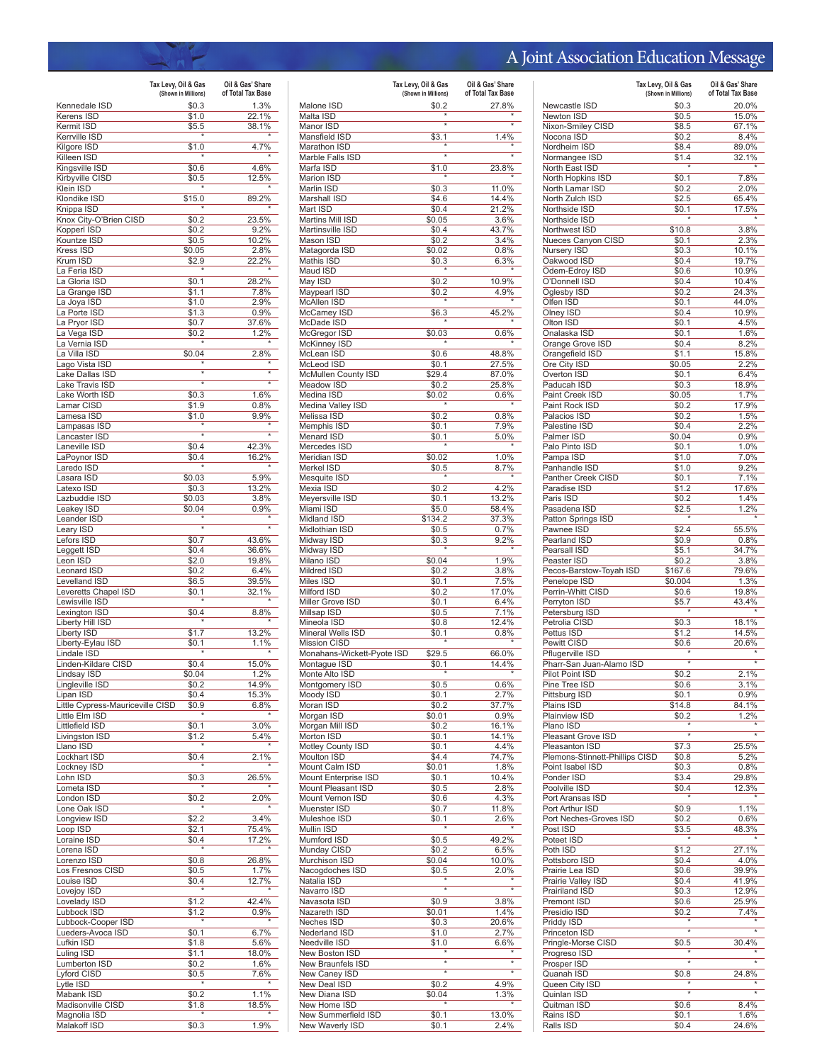## A Joint Association Education Message

|                                                    | Tax Levy, Oil & Gas<br>(Shown in Millions) | Oil & Gas' Share<br>of Total Tax Base |
|----------------------------------------------------|--------------------------------------------|---------------------------------------|
| Kennedale ISD                                      | \$0.3                                      | 1.3%                                  |
| Kerens ISD                                         | \$1.0                                      | 22.1%                                 |
| Kermit ISD                                         | \$5.5                                      | 38.1%                                 |
| Kerrville ISD                                      |                                            |                                       |
| Kilgore ISD                                        | \$1.0                                      | 4.7%                                  |
| Killeen ISD<br>Kingsville ISD                      | \$0.6                                      | 4.6%                                  |
| Kirbyville CISD                                    | \$0.5                                      | 12.5%                                 |
| Klein ISD                                          |                                            |                                       |
| Klondike ISD                                       | \$15.0                                     | 89.2%                                 |
| Knippa ISD                                         | $\star$                                    |                                       |
| Knox City-O'Brien CISD                             | \$0.2                                      | 23.5%<br>9.2%                         |
| Kopperl ISD<br>Kountze ISD                         | \$0.2<br>\$0.5                             | 10.2%                                 |
| Kress ISD                                          | \$0.05                                     | 2.8%                                  |
| Krum ISD                                           | \$2.9                                      | 22.2%                                 |
| La Feria ISD                                       |                                            |                                       |
| La Gloria ISD                                      | \$0.1                                      | 28.2%                                 |
| La Grange ISD<br>La Joya ISD                       | \$1.1<br>\$1.0                             | 7.8%<br>2.9%                          |
| La Porte ISD                                       | \$1.3                                      | 0.9%                                  |
| La Pryor ISD                                       | \$0.7                                      | 37.6%                                 |
| La Vega ISD                                        | \$0.2                                      | 1.2%                                  |
| La Vernia ISD                                      |                                            |                                       |
| La Villa ISD<br>Lago Vista ISD                     | \$0.04                                     | 2.8%                                  |
| Lake Dallas ISD                                    | $\star$                                    | $\overline{\ast}$                     |
| Lake Travis ISD                                    | $\star$                                    | $\overline{\ast}$                     |
| Lake Worth ISD                                     | \$0.3                                      | 1.6%                                  |
| Lamar CISD                                         | \$1.9                                      | 0.8%                                  |
| Lamesa ISD                                         | \$1.0                                      | 9.9%                                  |
| Lampasas ISD<br>Lancaster ISD                      | $\overline{\ast}$                          |                                       |
| Laneville ISD                                      | \$0.4                                      | 42.3%                                 |
| LaPoynor ISD                                       | \$0.4                                      | 16.2%                                 |
| Laredo ISD                                         |                                            |                                       |
| Lasara ISD                                         | \$0.03                                     | 5.9%                                  |
| Latexo ISD                                         | \$0.3                                      | 13.2%                                 |
| Lazbuddie ISD<br>Leakey ISD                        | \$0.03<br>\$0.04                           | 3.8%<br>0.9%                          |
| Leander ISD                                        | $\star$                                    |                                       |
| Leary ISD                                          | $\overline{\ast}$                          | $\overline{\ast}$                     |
| Lefors ISD                                         | \$0.7                                      | 43.6%                                 |
| Leggett ISD                                        | \$0.4                                      | 36.6%                                 |
| Leon ISD                                           | \$2.0                                      | 19.8%                                 |
| Leonard ISD<br>Levelland ISD                       | \$0.2<br>\$6.5                             | 6.4%<br>39.5%                         |
| Leveretts Chapel ISD                               | \$0.1                                      | 32.1%                                 |
| Lewisville ISD                                     | $\star$                                    |                                       |
| Lexington ISD                                      | \$0.4                                      | 8.8%                                  |
| Liberty Hill ISD                                   |                                            |                                       |
| Liberty ISD                                        | \$1.7                                      | 13.2%<br>1.1%                         |
| Liberty-Eylau ISD<br>Lindale ISD                   | \$0.1                                      |                                       |
| Linden-Kildare CISD                                | \$0.4                                      | 15.0%                                 |
| Lindsav ISD                                        | \$0.04                                     | 1.2%                                  |
| Lingleville ISD                                    | \$0.2                                      | 14.9%                                 |
| Lipan ISD                                          | \$0.4                                      | 15.3%                                 |
| Little Cypress-Mauriceville CISD<br>Little Elm ISD | \$0.9                                      | $6.8\%$                               |
| Littlefield ISD                                    | \$0.1                                      | 3.0%                                  |
| Livingston ISD                                     | \$1.2                                      | 5.4%                                  |
| Llano ISD                                          |                                            |                                       |
| Lockhart ISD                                       | \$0.4                                      | 2.1%                                  |
| Lockney ISD                                        |                                            |                                       |
| Lohn ISD<br>Lometa ISD                             | \$0.3                                      | 26.5%                                 |
| London ISD                                         | \$0.2                                      | 2.0%                                  |
| Lone Oak ISD                                       |                                            |                                       |
| Longview ISD                                       | \$2.2                                      | 3.4%                                  |
| Loop ISD                                           | \$2.1                                      | 75.4%                                 |
| Loraine ISD<br>Lorena ISD                          | \$0.4<br>$\star$                           | 17.2%                                 |
| Lorenzo ISD                                        | \$0.8                                      | 26.8%                                 |
| Los Fresnos CISD                                   | \$0.5                                      | 1.7%                                  |
| Louise ISD                                         | \$0.4                                      | 12.7%                                 |
| Lovejoy ISD                                        | ×                                          |                                       |
| Lovelady ISD                                       | \$1.2                                      | 42.4%                                 |
| Lubbock ISD<br>Lubbock-Cooper ISD                  | \$1.2<br>$\star$                           | 0.9%                                  |
| Lueders-Avoca ISD                                  | \$0.1                                      | 6.7%                                  |
| Lufkin ISD                                         | \$1.8                                      | 5.6%                                  |
| Luling ISD                                         | \$1.1                                      | 18.0%                                 |
| Lumberton ISD                                      | \$0.2                                      | 1.6%                                  |
| Lyford CISD                                        | \$0.5                                      | 7.6%                                  |
| Lytle ISD                                          |                                            | 1.1%                                  |
| Mabank ISD<br>Madisonville CISD                    | \$0.2<br>\$1.8                             | 18.5%                                 |
| Magnolia ISD                                       |                                            |                                       |
| Malakoff ISD                                       | \$0.3                                      | 1.9%                                  |

|                                            | Tax Levy, Oil & Gas<br>(Shown in Millions) | Oil & Gas' Share<br>of Total Tax Base |
|--------------------------------------------|--------------------------------------------|---------------------------------------|
| Malone ISD                                 | \$0.2                                      | 27.8%                                 |
| Malta ISD                                  | $\overline{\ast}$                          | $\overline{\ast}$                     |
| Manor ISD<br>Mansfield ISD                 | \$3.1                                      | 1.4%                                  |
| Marathon ISD                               |                                            |                                       |
| Marble Falls ISD                           | $\overline{\ast}$                          |                                       |
| Marfa ISD                                  | \$1.0                                      | 23.8%                                 |
| <b>Marion ISD</b>                          |                                            |                                       |
| Marlin ISD<br>Marshall ISD                 | \$0.3                                      | 11.0%<br>14.4%                        |
| Mart ISD                                   | \$4.6<br>\$0.4                             | 21.2%                                 |
| Martins Mill ISD                           | \$0.05                                     | 3.6%                                  |
| Martinsville ISD                           | \$0.4                                      | 43.7%                                 |
| Mason ISD                                  | \$0.2                                      | 3.4%                                  |
| Matagorda ISD<br>Mathis ISD                | \$0.02<br>\$0.3                            | 0.8%<br>6.3%                          |
| Maud ISD                                   |                                            |                                       |
| May ISD                                    | \$0.2                                      | 10.9%                                 |
| Maypearl ISD                               | \$0.2                                      | 4.9%                                  |
| McAllen ISD                                |                                            |                                       |
| McCamey ISD<br>McDade ISD                  | \$6.3                                      | 45.2%                                 |
| McGregor ISD                               | \$0.03                                     | 0.6%                                  |
| McKinney ISD                               |                                            |                                       |
| McLean ISD                                 | \$0.6                                      | 48.8%                                 |
| McLeod ISD                                 | \$0.1                                      | 27.5%                                 |
| McMullen County ISD                        | \$29.4                                     | 87.0%<br>25.8%                        |
| Meadow ISD<br>Medina ISD                   | \$0.2<br>\$0.02                            | 0.6%                                  |
| Medina Valley ISD                          |                                            | $\star$                               |
| Melissa ISD                                | \$0.2                                      | 0.8%                                  |
| Memphis ISD                                | \$0.1                                      | 7.9%                                  |
| <b>Menard ISD</b>                          | \$0.1                                      | 5.0%                                  |
| Mercedes ISD<br><b>Meridian ISD</b>        | \$0.02                                     | 1.0%                                  |
| Merkel ISD                                 | \$0.5                                      | 8.7%                                  |
| Mesquite ISD                               |                                            |                                       |
| Mexia ISD                                  | \$0.2                                      | 4.2%                                  |
| Meyersville ISD                            | \$0.1                                      | 13.2%                                 |
| Miami ISD                                  | \$5.0                                      | 58.4%                                 |
| Midland ISD<br>Midlothian ISD              | \$134.2<br>\$0.5                           | 37.3%<br>0.7%                         |
| Midway ISD                                 | \$0.3                                      | 9.2%                                  |
| Midway ISD                                 |                                            |                                       |
| Milano ISD                                 | \$0.04                                     | 1.9%                                  |
| Mildred ISD                                | \$0.2                                      | 3.8%                                  |
| Miles ISD<br>Milford ISD                   | \$0.1                                      | 7.5%                                  |
| Miller Grove ISD                           | \$0.2<br>\$0.1                             | 17.0%<br>6.4%                         |
| Millsap ISD                                | \$0.5                                      | 7.1%                                  |
| Mineola ISD                                | \$0.8                                      | 12.4%                                 |
| Mineral Wells ISD                          | \$0.1                                      | 0.8%                                  |
| <b>Mission CISD</b>                        |                                            |                                       |
| Monahans-Wickett-Pyote ISD<br>Montague ISD | \$29.5<br>\$0.1                            | 66.0%<br>14.4%                        |
| Monte Alto ISD                             | $\star$                                    |                                       |
| Montgomery ISD                             | \$0.5                                      | $0.6\%$                               |
| Moody ISD                                  | \$0.1                                      | 2.7%                                  |
| Moran ISD                                  | \$0.2                                      | 37.7%                                 |
| Morgan ISD                                 | \$0.01                                     | 0.9%                                  |
| Morgan Mill ISD<br>Morton ISD              | \$0.2                                      | 16.1%<br>14.1%                        |
| Motley County ISD                          | \$0.1<br>\$0.1                             | 4.4%                                  |
| <b>Moulton ISD</b>                         | \$4.4                                      | 74.7%                                 |
| Mount Calm ISD                             | \$0.01                                     | 1.8%                                  |
| Mount Enterprise ISD                       | \$0.1                                      | 10.4%                                 |
| Mount Pleasant ISD                         | \$0.5                                      | 2.8%                                  |
| Mount Vernon ISD<br>Muenster ISD           | \$0.6<br>\$0.7                             | 4.3%<br>11.8%                         |
| Muleshoe ISD                               | \$0.1                                      | 2.6%                                  |
| Mullin ISD                                 |                                            |                                       |
| Mumford ISD                                | \$0.5                                      | 49.2%                                 |
| Munday CISD                                | \$0.2                                      | 6.5%                                  |
| Murchison ISD<br>Nacogdoches ISD           | \$0.04<br>\$0.5                            | 10.0%<br>2.0%                         |
| Natalia ISD                                |                                            |                                       |
| Navarro ISD                                | $\overline{\ast}$                          | ×                                     |
| Navasota ISD                               | \$0.9                                      | 3.8%                                  |
| Nazareth ISD                               | \$0.01                                     | 1.4%                                  |
| Neches ISD                                 | \$0.3                                      | 20.6%                                 |
| Nederland ISD                              | \$1.0                                      | 2.7%                                  |
| Needville ISD<br>New Boston ISD            | \$1.0                                      | 6.6%                                  |
| New Braunfels ISD                          | $\star$                                    | ×                                     |
| New Caney ISD                              | $\overline{\ast}$                          |                                       |
| New Deal ISD                               | \$0.2                                      | 4.9%                                  |
| New Diana ISD                              | \$0.04                                     | 1.3%                                  |
| New Home ISD<br>New Summerfield ISD        | \$0.1                                      | 13.0%                                 |
| New Waverly ISD                            | \$0.1                                      | 2.4%                                  |
|                                            |                                            |                                       |

|                                             | Tax Levy, Oil & Gas<br>(Shown in Millions) | Oil & Gas' Share<br>of Total Tax Base |
|---------------------------------------------|--------------------------------------------|---------------------------------------|
| Newcastle ISD                               | \$0.3                                      | 20.0%                                 |
| <b>Newton ISD</b>                           | \$0.5                                      | 15.0%                                 |
| Nixon-Smiley CISD                           | \$8.5                                      | 67.1%                                 |
| Nocona ISD                                  | \$0.2                                      | 8.4%                                  |
| Nordheim ISD<br>Normangee ISD               | \$8.4<br>\$1.4                             | 89.0%<br>32.1%                        |
| North East ISD                              | $\star$                                    |                                       |
| North Hopkins ISD                           | \$0.1                                      | 7.8%                                  |
| North Lamar ISD                             | \$0.2                                      | 2.0%                                  |
| North Zulch ISD                             | \$2.5                                      | 65.4%                                 |
| Northside ISD                               | \$0.1                                      | 17.5%                                 |
| Northside ISD<br>Northwest ISD              | \$10.8                                     | 3.8%                                  |
| Nueces Canyon CISD                          | \$0.1                                      | 2.3%                                  |
| Nursery ISD                                 | \$0.3                                      | 10.1%                                 |
| Oakwood ISD                                 | \$0.4                                      | 19.7%                                 |
| Odem-Edroy ISD                              | \$0.6                                      | 10.9%                                 |
| O'Donnell ISD                               | \$0.4                                      | 10.4%                                 |
| Oglesby ISD<br>Olfen ISD                    | \$0.2<br>\$0.1                             | 24.3%<br>44.0%                        |
| Olney ISD                                   | \$0.4                                      | 10.9%                                 |
| Olton ISD                                   | \$0.1                                      | 4.5%                                  |
| Onalaska ISD                                | \$0.1                                      | 1.6%                                  |
| Orange Grove ISD                            | \$0.4                                      | 8.2%                                  |
| Orangefield ISD                             | \$1.1                                      | 15.8%                                 |
| Ore City ISD<br>Overton ISD                 | \$0.05<br>\$0.1                            | 2.2%<br>6.4%                          |
| Paducah ISD                                 | \$0.3                                      | 18.9%                                 |
| Paint Creek ISD                             | \$0.05                                     | 1.7%                                  |
| Paint Rock ISD                              | \$0.2                                      | 17.9%                                 |
| Palacios ISD                                | \$0.2                                      | 1.5%                                  |
| Palestine ISD                               | \$0.4                                      | 2.2%                                  |
| Palmer ISD<br>Palo Pinto ISD                | \$0.04<br>\$0.1                            | 0.9%<br>1.0%                          |
| Pampa ISD                                   | \$1.0                                      | 7.0%                                  |
| Panhandle ISD                               | \$1.0                                      | 9.2%                                  |
| Panther Creek CISD                          | \$0.1                                      | 7.1%                                  |
| Paradise ISD                                | \$1.2                                      | 17.6%                                 |
| Paris ISD                                   | \$0.2                                      | 1.4%                                  |
| Pasadena ISD                                | \$2.5                                      | 1.2%                                  |
| Patton Springs ISD<br>Pawnee ISD            | \$2.4                                      | 55.5%                                 |
| Pearland ISD                                | \$0.9                                      | 0.8%                                  |
| Pearsall ISD                                | \$5.1                                      | 34.7%                                 |
| Peaster ISD                                 | \$0.2                                      | 3.8%                                  |
| Pecos-Barstow-Toyah ISD                     | \$167.6                                    | 79.6%                                 |
| Penelope ISD<br>Perrin-Whitt CISD           | \$0.004<br>\$0.6                           | 1.3%<br>19.8%                         |
| Perryton ISD                                | \$5.7                                      | 43.4%                                 |
| Petersburg ISD                              |                                            |                                       |
| Petrolia CISD                               | \$0.3                                      | 18.1%                                 |
| Pettus ISD                                  | \$1.2                                      | 14.5%                                 |
| Pewitt CISD                                 | \$0.6                                      | 20.6%                                 |
| Pflugerville ISD                            |                                            |                                       |
| Pharr-San Juan-Alamo ISD<br>Pilot Point ISD | \$0.2                                      | 2.1%                                  |
| Pine Tree ISD                               | \$0.6                                      | 3.1%                                  |
| Pittsburg ISD                               | \$0.1                                      | 0.9%                                  |
| Plains ISD                                  | \$14.8                                     | 84.1%                                 |
| <b>Plainview ISD</b>                        | \$0.2                                      | 1.2%                                  |
| Plano ISD                                   | $\overline{\ast}$                          |                                       |
| Pleasant Grove ISD<br>Pleasanton ISD        | \$7.3                                      | 25.5%                                 |
| Plemons-Stinnett-Phillips CISD              | \$0.8                                      | 5.2%                                  |
| Point Isabel ISD                            | \$0.3                                      | 0.8%                                  |
| Ponder ISD                                  | \$3.4                                      | 29.8%                                 |
| Poolville ISD                               | \$0.4                                      | 12.3%                                 |
| Port Aransas ISD                            |                                            |                                       |
| Port Arthur ISD<br>Port Neches-Groves ISD   | \$0.9<br>\$0.2                             | 1.1%<br>0.6%                          |
| Post ISD                                    | \$3.5                                      | 48.3%                                 |
| Poteet ISD                                  |                                            |                                       |
| Poth ISD                                    | \$1.2                                      | 27.1%                                 |
| Pottsboro ISD                               | \$0.4                                      | 4.0%                                  |
| Prairie Lea ISD                             | \$0.6                                      | 39.9%                                 |
| Prairie Valley ISD                          | \$0.4                                      | 41.9%                                 |
| Prairiland ISD<br>Premont ISD               | \$0.3<br>\$0.6                             | 12.9%<br>25.9%                        |
| Presidio ISD                                | \$0.2                                      | 7.4%                                  |
| Priddy ISD                                  |                                            |                                       |
| Princeton ISD                               | $\overline{\ast}$                          | ¥                                     |
| Pringle-Morse CISD                          | \$0.5                                      | 30.4%                                 |
| Progreso ISD                                | ×                                          | ÷                                     |
| Prosper ISD                                 | \$0.8                                      | 24.8%                                 |
| Quanah ISD<br>Queen City ISD                |                                            |                                       |
| Quinlan ISD                                 | $\overline{\ast}$                          |                                       |
| Quitman ISD                                 | \$0.6                                      | 8.4%                                  |
| Rains ISD                                   | \$0.1                                      | 1.6%                                  |
| Ralls ISD                                   | \$0.4                                      | 24.6%                                 |